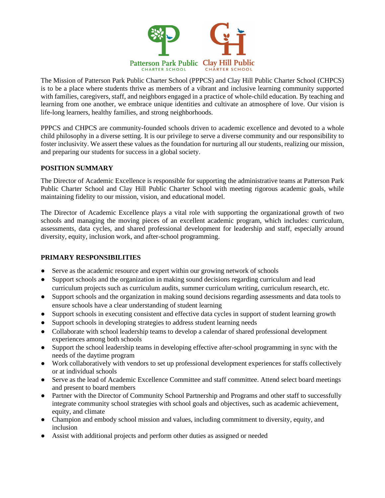

The Mission of Patterson Park Public Charter School (PPPCS) and Clay Hill Public Charter School (CHPCS) is to be a place where students thrive as members of a vibrant and inclusive learning community supported with families, caregivers, staff, and neighbors engaged in a practice of whole-child education. By teaching and learning from one another, we embrace unique identities and cultivate an atmosphere of love. Our vision is life-long learners, healthy families, and strong neighborhoods.

PPPCS and CHPCS are community-founded schools driven to academic excellence and devoted to a whole child philosophy in a diverse setting. It is our privilege to serve a diverse community and our responsibility to foster inclusivity. We assert these values as the foundation for nurturing all our students, realizing our mission, and preparing our students for success in a global society.

### **POSITION SUMMARY**

The Director of Academic Excellence is responsible for supporting the administrative teams at Patterson Park Public Charter School and Clay Hill Public Charter School with meeting rigorous academic goals, while maintaining fidelity to our mission, vision, and educational model.

The Director of Academic Excellence plays a vital role with supporting the organizational growth of two schools and managing the moving pieces of an excellent academic program, which includes: curriculum, assessments, data cycles, and shared professional development for leadership and staff, especially around diversity, equity, inclusion work, and after-school programming.

## **PRIMARY RESPONSIBILITIES**

- Serve as the academic resource and expert within our growing network of schools
- Support schools and the organization in making sound decisions regarding curriculum and lead curriculum projects such as curriculum audits, summer curriculum writing, curriculum research, etc.
- Support schools and the organization in making sound decisions regarding assessments and data tools to ensure schools have a clear understanding of student learning
- Support schools in executing consistent and effective data cycles in support of student learning growth
- Support schools in developing strategies to address student learning needs
- Collaborate with school leadership teams to develop a calendar of shared professional development experiences among both schools
- Support the school leadership teams in developing effective after-school programming in sync with the needs of the daytime program
- Work collaboratively with vendors to set up professional development experiences for staffs collectively or at individual schools
- Serve as the lead of Academic Excellence Committee and staff committee. Attend select board meetings and present to board members
- Partner with the Director of Community School Partnership and Programs and other staff to successfully integrate community school strategies with school goals and objectives, such as academic achievement, equity, and climate
- Champion and embody school mission and values, including commitment to diversity, equity, and inclusion
- Assist with additional projects and perform other duties as assigned or needed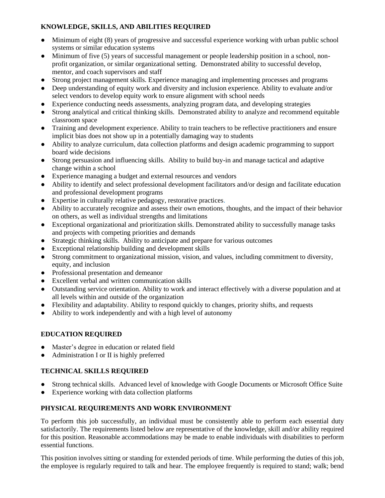# **KNOWLEDGE, SKILLS, AND ABILITIES REQUIRED**

- Minimum of eight (8) years of progressive and successful experience working with urban public school systems or similar education systems
- Minimum of five (5) years of successful management or people leadership position in a school, nonprofit organization, or similar organizational setting. Demonstrated ability to successful develop, mentor, and coach supervisors and staff
- Strong project management skills. Experience managing and implementing processes and programs
- Deep understanding of equity work and diversity and inclusion experience. Ability to evaluate and/or select vendors to develop equity work to ensure alignment with school needs
- Experience conducting needs assessments, analyzing program data, and developing strategies
- Strong analytical and critical thinking skills. Demonstrated ability to analyze and recommend equitable classroom space
- Training and development experience. Ability to train teachers to be reflective practitioners and ensure implicit bias does not show up in a potentially damaging way to students
- Ability to analyze curriculum, data collection platforms and design academic programming to support board wide decisions
- Strong persuasion and influencing skills. Ability to build buy-in and manage tactical and adaptive change within a school
- Experience managing a budget and external resources and vendors
- Ability to identify and select professional development facilitators and/or design and facilitate education and professional development programs
- Expertise in culturally relative pedagogy, restorative practices.
- Ability to accurately recognize and assess their own emotions, thoughts, and the impact of their behavior on others, as well as individual strengths and limitations
- Exceptional organizational and prioritization skills. Demonstrated ability to successfully manage tasks and projects with competing priorities and demands
- Strategic thinking skills. Ability to anticipate and prepare for various outcomes
- Exceptional relationship building and development skills
- Strong commitment to organizational mission, vision, and values, including commitment to diversity, equity, and inclusion
- Professional presentation and demeanor
- Excellent verbal and written communication skills
- Outstanding service orientation. Ability to work and interact effectively with a diverse population and at all levels within and outside of the organization
- Flexibility and adaptability. Ability to respond quickly to changes, priority shifts, and requests
- Ability to work independently and with a high level of autonomy

# **EDUCATION REQUIRED**

- Master's degree in education or related field
- Administration I or II is highly preferred

## **TECHNICAL SKILLS REQUIRED**

- Strong technical skills. Advanced level of knowledge with Google Documents or Microsoft Office Suite
- Experience working with data collection platforms

# **PHYSICAL REQUIREMENTS AND WORK ENVIRONMENT**

To perform this job successfully, an individual must be consistently able to perform each essential duty satisfactorily. The requirements listed below are representative of the knowledge, skill and/or ability required for this position. Reasonable accommodations may be made to enable individuals with disabilities to perform essential functions.

This position involves sitting or standing for extended periods of time. While performing the duties of this job, the employee is regularly required to talk and hear. The employee frequently is required to stand; walk; bend